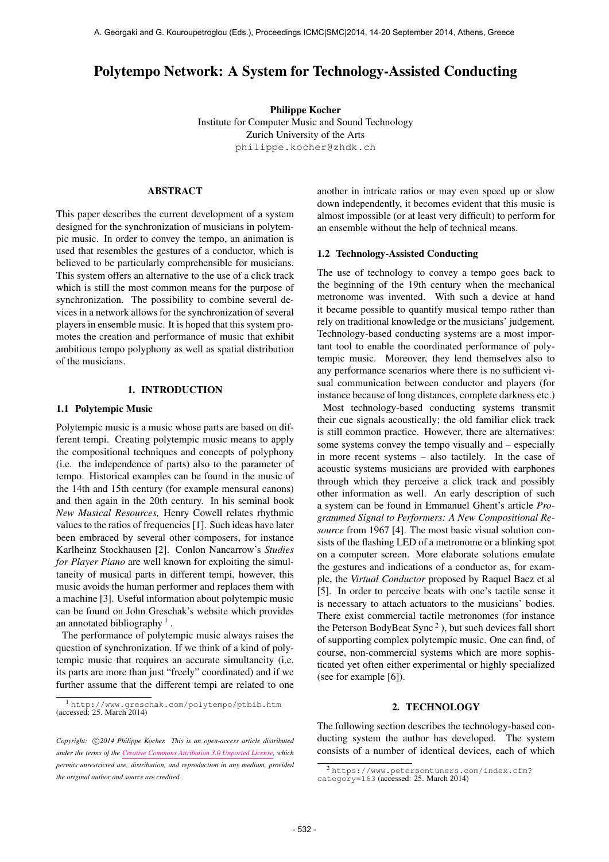# Polytempo Network: A System for Technology-Assisted Conducting

Philippe Kocher Institute for Computer Music and Sound Technology Zurich University of the Arts [philippe.kocher@zhdk.ch](mailto:philippe.kocher@zhdk.ch)

# ABSTRACT

This paper describes the current development of a system designed for the synchronization of musicians in polytempic music. In order to convey the tempo, an animation is used that resembles the gestures of a conductor, which is believed to be particularly comprehensible for musicians. This system offers an alternative to the use of a click track which is still the most common means for the purpose of synchronization. The possibility to combine several devices in a network allows for the synchronization of several players in ensemble music. It is hoped that this system promotes the creation and performance of music that exhibit ambitious tempo polyphony as well as spatial distribution of the musicians.

# 1. INTRODUCTION

## 1.1 Polytempic Music

Polytempic music is a music whose parts are based on different tempi. Creating polytempic music means to apply the compositional techniques and concepts of polyphony (i.e. the independence of parts) also to the parameter of tempo. Historical examples can be found in the music of the 14th and 15th century (for example mensural canons) and then again in the 20th century. In his seminal book *New Musical Resources,* Henry Cowell relates rhythmic values to the ratios of frequencies [1]. Such ideas have later been embraced by several other composers, for instance Karlheinz Stockhausen [2]. Conlon Nancarrow's *Studies for Player Piano* are well known for exploiting the simultaneity of musical parts in different tempi, however, this music avoids the human performer and replaces them with a machine [3]. Useful information about polytempic music can be found on John Greschak's website which provides an annotated bibliography  $<sup>1</sup>$ .</sup>

The performance of polytempic music always raises the question of synchronization. If we think of a kind of polytempic music that requires an accurate simultaneity (i.e. its parts are more than just "freely" coordinated) and if we further assume that the different tempi are related to one another in intricate ratios or may even speed up or slow down independently, it becomes evident that this music is almost impossible (or at least very difficult) to perform for an ensemble without the help of technical means.

#### 1.2 Technology-Assisted Conducting

The use of technology to convey a tempo goes back to the beginning of the 19th century when the mechanical metronome was invented. With such a device at hand it became possible to quantify musical tempo rather than rely on traditional knowledge or the musicians' judgement. Technology-based conducting systems are a most important tool to enable the coordinated performance of polytempic music. Moreover, they lend themselves also to any performance scenarios where there is no sufficient visual communication between conductor and players (for instance because of long distances, complete darkness etc.)

Most technology-based conducting systems transmit their cue signals acoustically; the old familiar click track is still common practice. However, there are alternatives: some systems convey the tempo visually and – especially in more recent systems – also tactilely. In the case of acoustic systems musicians are provided with earphones through which they perceive a click track and possibly other information as well. An early description of such a system can be found in Emmanuel Ghent's article *Programmed Signal to Performers: A New Compositional Resource* from 1967 [4]. The most basic visual solution consists of the flashing LED of a metronome or a blinking spot on a computer screen. More elaborate solutions emulate the gestures and indications of a conductor as, for example, the *Virtual Conductor* proposed by Raquel Baez et al [5]. In order to perceive beats with one's tactile sense it is necessary to attach actuators to the musicians' bodies. There exist commercial tactile metronomes (for instance the Peterson BodyBeat Sync<sup>2</sup>), but such devices fall short of supporting complex polytempic music. One can find, of course, non-commercial systems which are more sophisticated yet often either experimental or highly specialized (see for example [6]).

#### 2. TECHNOLOGY

The following section describes the technology-based conducting system the author has developed. The system consists of a number of identical devices, each of which

<sup>1</sup> <http://www.greschak.com/polytempo/ptbib.htm> (accessed: 25. March 2014)

Copyright:  $\bigcirc$ 2014 Philippe Kocher. This is an open-access article distributed *under the terms of the [Creative Commons Attribution 3.0 Unported License,](http://creativecommons.org/licenses/by/3.0/) which permits unrestricted use, distribution, and reproduction in any medium, provided the original author and source are credited.*

<sup>2</sup> [https://www.petersontuners.com/index.cfm?](https://www.petersontuners.com/index.cfm?category=163) [category=163](https://www.petersontuners.com/index.cfm?category=163) (accessed: 25. March 2014)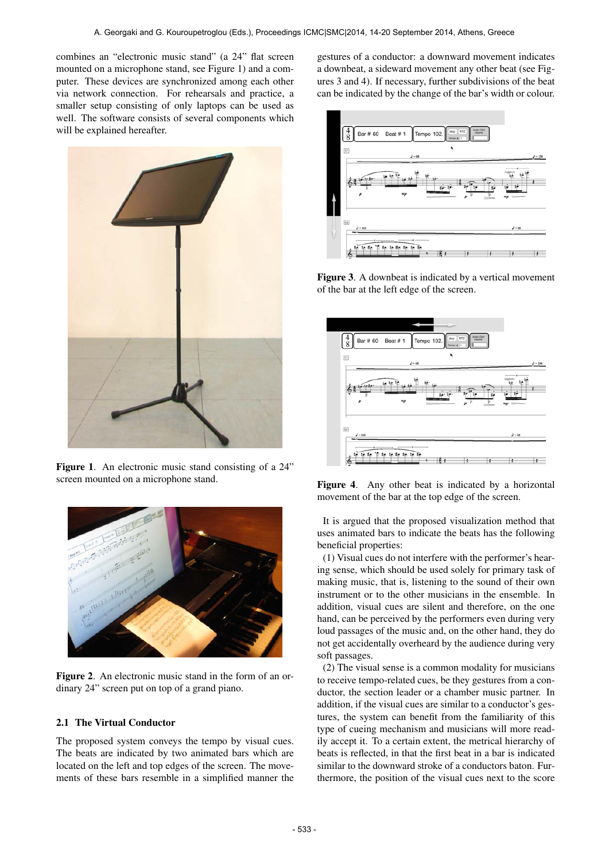combines an "electronic music stand" (a 24" flat screen mounted on a microphone stand, see Figure 1) and a computer. These devices are synchronized among each other via network connection. For rehearsals and practice, a smaller setup consisting of only laptops can be used as well. The software consists of several components which will be explained hereafter.



Figure 1. An electronic music stand consisting of a 24" screen mounted on a microphone stand.



Figure 2. An electronic music stand in the form of an ordinary 24" screen put on top of a grand piano.

# 2.1 The Virtual Conductor

The proposed system conveys the tempo by visual cues. The beats are indicated by two animated bars which are located on the left and top edges of the screen. The movements of these bars resemble in a simplified manner the gestures of a conductor: a downward movement indicates a downbeat, a sideward movement any other beat (see Figures 3 and 4). If necessary, further subdivisions of the beat can be indicated by the change of the bar's width or colour.



Figure 3. A downbeat is indicated by a vertical movement of the bar at the left edge of the screen.



Figure 4. Any other beat is indicated by a horizontal movement of the bar at the top edge of the screen.

It is argued that the proposed visualization method that uses animated bars to indicate the beats has the following beneficial properties:

(1) Visual cues do not interfere with the performer's hearing sense, which should be used solely for primary task of making music, that is, listening to the sound of their own instrument or to the other musicians in the ensemble. In addition, visual cues are silent and therefore, on the one hand, can be perceived by the performers even during very loud passages of the music and, on the other hand, they do not get accidentally overheard by the audience during very soft passages.

(2) The visual sense is a common modality for musicians to receive tempo-related cues, be they gestures from a conductor, the section leader or a chamber music partner. In addition, if the visual cues are similar to a conductor's gestures, the system can benefit from the familiarity of this type of cueing mechanism and musicians will more readily accept it. To a certain extent, the metrical hierarchy of beats is reflected, in that the first beat in a bar is indicated similar to the downward stroke of a conductors baton. Furthermore, the position of the visual cues next to the score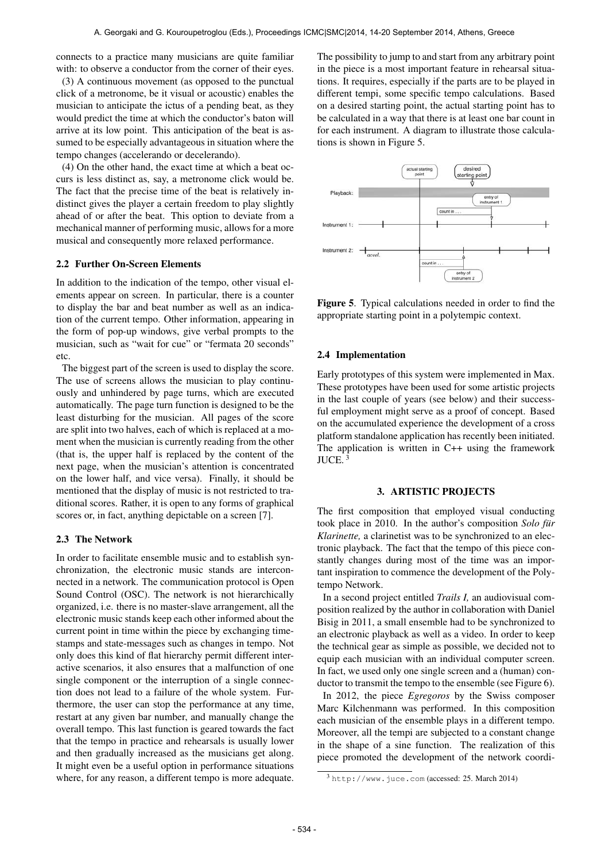connects to a practice many musicians are quite familiar with: to observe a conductor from the corner of their eyes.

(3) A continuous movement (as opposed to the punctual click of a metronome, be it visual or acoustic) enables the musician to anticipate the ictus of a pending beat, as they would predict the time at which the conductor's baton will arrive at its low point. This anticipation of the beat is assumed to be especially advantageous in situation where the tempo changes (accelerando or decelerando).

(4) On the other hand, the exact time at which a beat occurs is less distinct as, say, a metronome click would be. The fact that the precise time of the beat is relatively indistinct gives the player a certain freedom to play slightly ahead of or after the beat. This option to deviate from a mechanical manner of performing music, allows for a more musical and consequently more relaxed performance.

# 2.2 Further On-Screen Elements

In addition to the indication of the tempo, other visual elements appear on screen. In particular, there is a counter to display the bar and beat number as well as an indication of the current tempo. Other information, appearing in the form of pop-up windows, give verbal prompts to the musician, such as "wait for cue" or "fermata 20 seconds" etc.

The biggest part of the screen is used to display the score. The use of screens allows the musician to play continuously and unhindered by page turns, which are executed automatically. The page turn function is designed to be the least disturbing for the musician. All pages of the score are split into two halves, each of which is replaced at a moment when the musician is currently reading from the other (that is, the upper half is replaced by the content of the next page, when the musician's attention is concentrated on the lower half, and vice versa). Finally, it should be mentioned that the display of music is not restricted to traditional scores. Rather, it is open to any forms of graphical scores or, in fact, anything depictable on a screen [7].

#### 2.3 The Network

In order to facilitate ensemble music and to establish synchronization, the electronic music stands are interconnected in a network. The communication protocol is Open Sound Control (OSC). The network is not hierarchically organized, i.e. there is no master-slave arrangement, all the electronic music stands keep each other informed about the current point in time within the piece by exchanging timestamps and state-messages such as changes in tempo. Not only does this kind of flat hierarchy permit different interactive scenarios, it also ensures that a malfunction of one single component or the interruption of a single connection does not lead to a failure of the whole system. Furthermore, the user can stop the performance at any time, restart at any given bar number, and manually change the overall tempo. This last function is geared towards the fact that the tempo in practice and rehearsals is usually lower and then gradually increased as the musicians get along. It might even be a useful option in performance situations where, for any reason, a different tempo is more adequate.

The possibility to jump to and start from any arbitrary point in the piece is a most important feature in rehearsal situations. It requires, especially if the parts are to be played in different tempi, some specific tempo calculations. Based on a desired starting point, the actual starting point has to be calculated in a way that there is at least one bar count in for each instrument. A diagram to illustrate those calculations is shown in Figure 5.



Figure 5. Typical calculations needed in order to find the appropriate starting point in a polytempic context.

## 2.4 Implementation

Early prototypes of this system were implemented in Max. These prototypes have been used for some artistic projects in the last couple of years (see below) and their successful employment might serve as a proof of concept. Based on the accumulated experience the development of a cross platform standalone application has recently been initiated. The application is written in C++ using the framework JUCE. 3

### 3. ARTISTIC PROJECTS

The first composition that employed visual conducting took place in 2010. In the author's composition *Solo für Klarinette,* a clarinetist was to be synchronized to an electronic playback. The fact that the tempo of this piece constantly changes during most of the time was an important inspiration to commence the development of the Polytempo Network.

In a second project entitled *Trails I,* an audiovisual composition realized by the author in collaboration with Daniel Bisig in 2011, a small ensemble had to be synchronized to an electronic playback as well as a video. In order to keep the technical gear as simple as possible, we decided not to equip each musician with an individual computer screen. In fact, we used only one single screen and a (human) conductor to transmit the tempo to the ensemble (see Figure 6).

In 2012, the piece *Egregoros* by the Swiss composer Marc Kilchenmann was performed. In this composition each musician of the ensemble plays in a different tempo. Moreover, all the tempi are subjected to a constant change in the shape of a sine function. The realization of this piece promoted the development of the network coordi-

<sup>3</sup> <http://www.juce.com> (accessed: 25. March 2014)